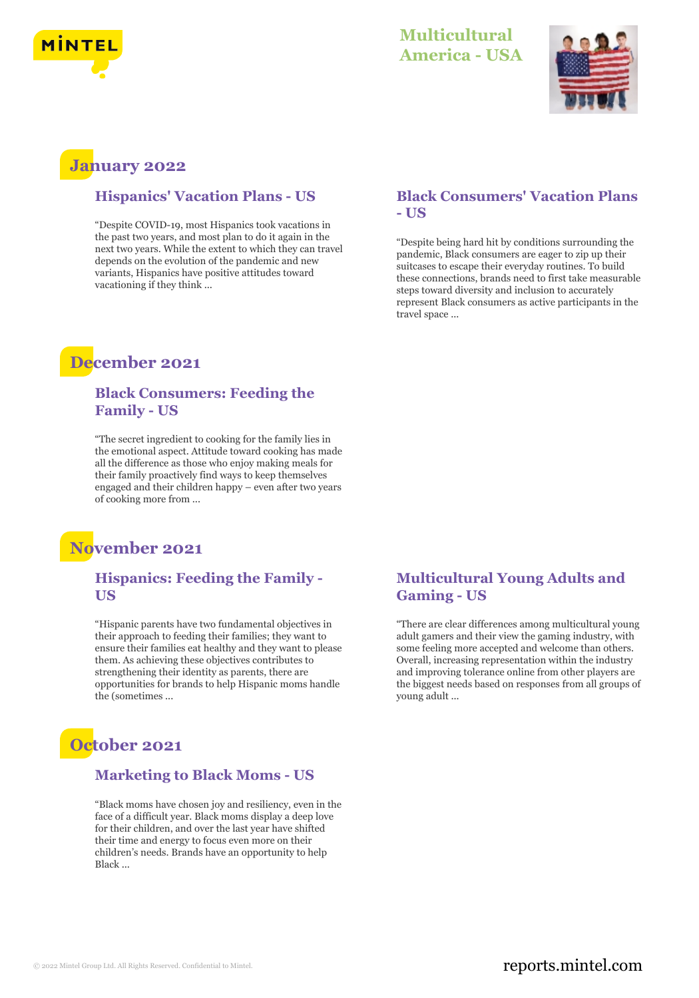



# **January 2022**

### **Hispanics' Vacation Plans - US**

"Despite COVID-19, most Hispanics took vacations in the past two years, and most plan to do it again in the next two years. While the extent to which they can travel depends on the evolution of the pandemic and new variants, Hispanics have positive attitudes toward vacationing if they think ...

# **December 2021**

### **Black Consumers: Feeding the Family - US**

"The secret ingredient to cooking for the family lies in the emotional aspect. Attitude toward cooking has made all the difference as those who enjoy making meals for their family proactively find ways to keep themselves engaged and their children happy – even after two years of cooking more from ...

# **November 2021**

#### **Hispanics: Feeding the Family - US**

"Hispanic parents have two fundamental objectives in their approach to feeding their families; they want to ensure their families eat healthy and they want to please them. As achieving these objectives contributes to strengthening their identity as parents, there are opportunities for brands to help Hispanic moms handle the (sometimes ...

# **October 2021**

### **Marketing to Black Moms - US**

"Black moms have chosen joy and resiliency, even in the face of a difficult year. Black moms display a deep love for their children, and over the last year have shifted their time and energy to focus even more on their children's needs. Brands have an opportunity to help Black ...

### **Black Consumers' Vacation Plans - US**

"Despite being hard hit by conditions surrounding the pandemic, Black consumers are eager to zip up their suitcases to escape their everyday routines. To build these connections, brands need to first take measurable steps toward diversity and inclusion to accurately represent Black consumers as active participants in the travel space ...

## **Multicultural Young Adults and Gaming - US**

"There are clear differences among multicultural young adult gamers and their view the gaming industry, with some feeling more accepted and welcome than others. Overall, increasing representation within the industry and improving tolerance online from other players are the biggest needs based on responses from all groups of young adult ...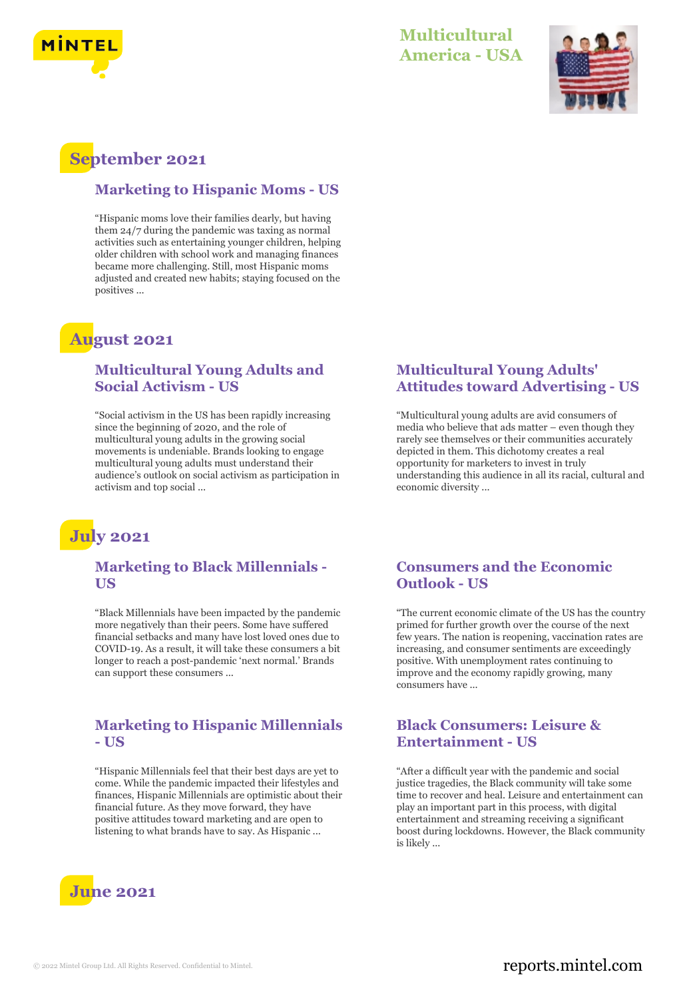



# **September 2021**

#### **Marketing to Hispanic Moms - US**

"Hispanic moms love their families dearly, but having them 24/7 during the pandemic was taxing as normal activities such as entertaining younger children, helping older children with school work and managing finances became more challenging. Still, most Hispanic moms adjusted and created new habits; staying focused on the positives ...

# **August 2021**

### **Multicultural Young Adults and Social Activism - US**

"Social activism in the US has been rapidly increasing since the beginning of 2020, and the role of multicultural young adults in the growing social movements is undeniable. Brands looking to engage multicultural young adults must understand their audience's outlook on social activism as participation in activism and top social ...



### **Marketing to Black Millennials - US**

"Black Millennials have been impacted by the pandemic more negatively than their peers. Some have suffered financial setbacks and many have lost loved ones due to COVID-19. As a result, it will take these consumers a bit longer to reach a post-pandemic 'next normal.' Brands can support these consumers ...

#### **Marketing to Hispanic Millennials - US**

"Hispanic Millennials feel that their best days are yet to come. While the pandemic impacted their lifestyles and finances, Hispanic Millennials are optimistic about their financial future. As they move forward, they have positive attitudes toward marketing and are open to listening to what brands have to say. As Hispanic ...



## **Multicultural Young Adults' Attitudes toward Advertising - US**

"Multicultural young adults are avid consumers of media who believe that ads matter – even though they rarely see themselves or their communities accurately depicted in them. This dichotomy creates a real opportunity for marketers to invest in truly understanding this audience in all its racial, cultural and economic diversity ...

#### **Consumers and the Economic Outlook - US**

"The current economic climate of the US has the country primed for further growth over the course of the next few years. The nation is reopening, vaccination rates are increasing, and consumer sentiments are exceedingly positive. With unemployment rates continuing to improve and the economy rapidly growing, many consumers have ...

#### **Black Consumers: Leisure & Entertainment - US**

"After a difficult year with the pandemic and social justice tragedies, the Black community will take some time to recover and heal. Leisure and entertainment can play an important part in this process, with digital entertainment and streaming receiving a significant boost during lockdowns. However, the Black community is likely ...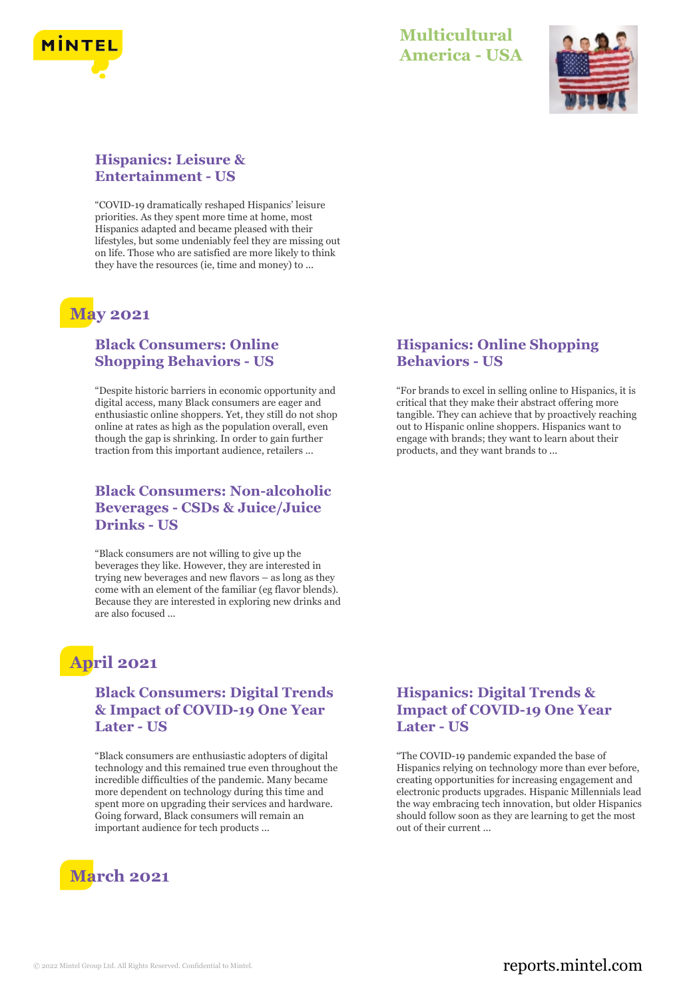



## **Hispanics: Leisure & Entertainment - US**

"COVID-19 dramatically reshaped Hispanics' leisure priorities. As they spent more time at home, most Hispanics adapted and became pleased with their lifestyles, but some undeniably feel they are missing out on life. Those who are satisfied are more likely to think they have the resources (ie, time and money) to ...

# **May 2021**

## **Black Consumers: Online Shopping Behaviors - US**

"Despite historic barriers in economic opportunity and digital access, many Black consumers are eager and enthusiastic online shoppers. Yet, they still do not shop online at rates as high as the population overall, even though the gap is shrinking. In order to gain further traction from this important audience, retailers ...

## **Black Consumers: Non-alcoholic Beverages - CSDs & Juice/Juice Drinks - US**

"Black consumers are not willing to give up the beverages they like. However, they are interested in trying new beverages and new flavors – as long as they come with an element of the familiar (eg flavor blends). Because they are interested in exploring new drinks and are also focused ...

# **April 2021**

## **Black Consumers: Digital Trends & Impact of COVID-19 One Year Later - US**

"Black consumers are enthusiastic adopters of digital technology and this remained true even throughout the incredible difficulties of the pandemic. Many became more dependent on technology during this time and spent more on upgrading their services and hardware. Going forward, Black consumers will remain an important audience for tech products ...



## **Hispanics: Online Shopping Behaviors - US**

"For brands to excel in selling online to Hispanics, it is critical that they make their abstract offering more tangible. They can achieve that by proactively reaching out to Hispanic online shoppers. Hispanics want to engage with brands; they want to learn about their products, and they want brands to ...

## **Hispanics: Digital Trends & Impact of COVID-19 One Year Later - US**

"The COVID-19 pandemic expanded the base of Hispanics relying on technology more than ever before, creating opportunities for increasing engagement and electronic products upgrades. Hispanic Millennials lead the way embracing tech innovation, but older Hispanics should follow soon as they are learning to get the most out of their current ...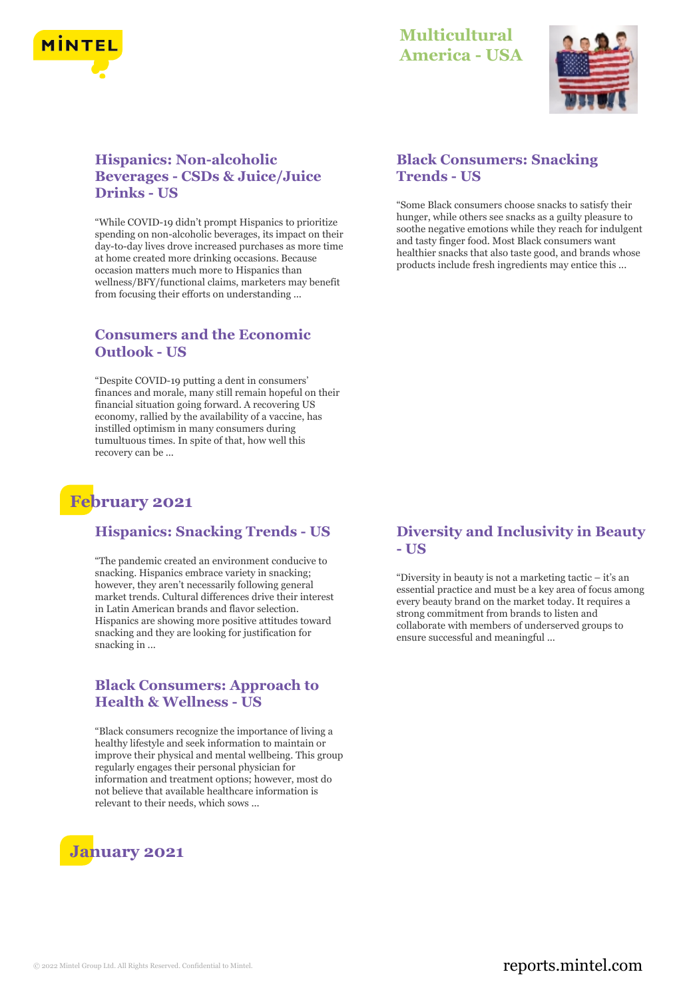



## **Hispanics: Non-alcoholic Beverages - CSDs & Juice/Juice Drinks - US**

"While COVID-19 didn't prompt Hispanics to prioritize spending on non-alcoholic beverages, its impact on their day-to-day lives drove increased purchases as more time at home created more drinking occasions. Because occasion matters much more to Hispanics than wellness/BFY/functional claims, marketers may benefit from focusing their efforts on understanding ...

### **Consumers and the Economic Outlook - US**

"Despite COVID-19 putting a dent in consumers' finances and morale, many still remain hopeful on their financial situation going forward. A recovering US economy, rallied by the availability of a vaccine, has instilled optimism in many consumers during tumultuous times. In spite of that, how well this recovery can be ...

# **February 2021**

#### **Hispanics: Snacking Trends - US**

"The pandemic created an environment conducive to snacking. Hispanics embrace variety in snacking; however, they aren't necessarily following general market trends. Cultural differences drive their interest in Latin American brands and flavor selection. Hispanics are showing more positive attitudes toward snacking and they are looking for justification for snacking in ...

### **Black Consumers: Approach to Health & Wellness - US**

"Black consumers recognize the importance of living a healthy lifestyle and seek information to maintain or improve their physical and mental wellbeing. This group regularly engages their personal physician for information and treatment options; however, most do not believe that available healthcare information is relevant to their needs, which sows ...



## **Black Consumers: Snacking Trends - US**

"Some Black consumers choose snacks to satisfy their hunger, while others see snacks as a guilty pleasure to soothe negative emotions while they reach for indulgent and tasty finger food. Most Black consumers want healthier snacks that also taste good, and brands whose products include fresh ingredients may entice this ...

### **Diversity and Inclusivity in Beauty - US**

"Diversity in beauty is not a marketing tactic – it's an essential practice and must be a key area of focus among every beauty brand on the market today. It requires a strong commitment from brands to listen and collaborate with members of underserved groups to ensure successful and meaningful ...